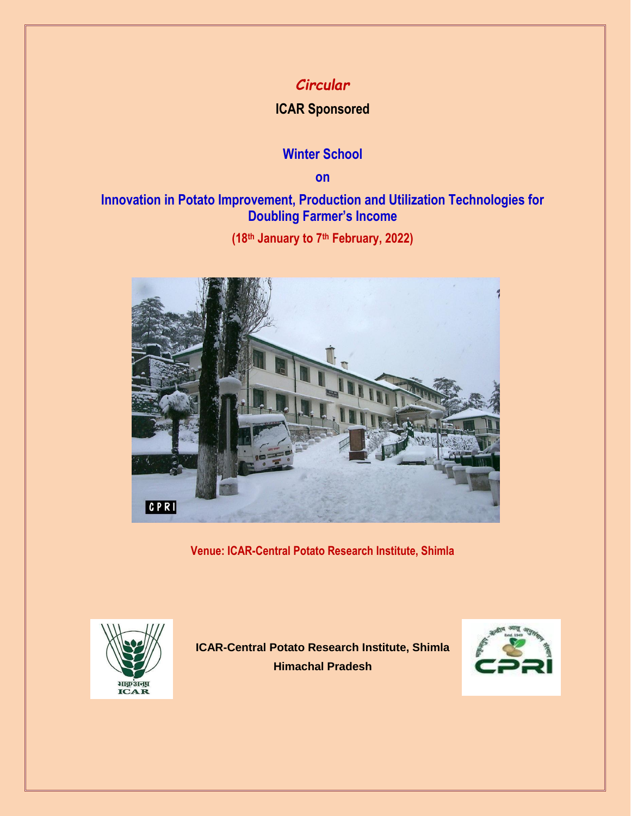# *Circular*

## **ICAR Sponsored**

## **Winter School**

**on**

## **Innovation in Potato Improvement, Production and Utilization Technologies for Doubling Farmer's Income**

**(18th January to 7th February, 2022)**



**Venue: ICAR-Central Potato Research Institute, Shimla** 



**ICAR-Central Potato Research Institute, Shimla Himachal Pradesh**

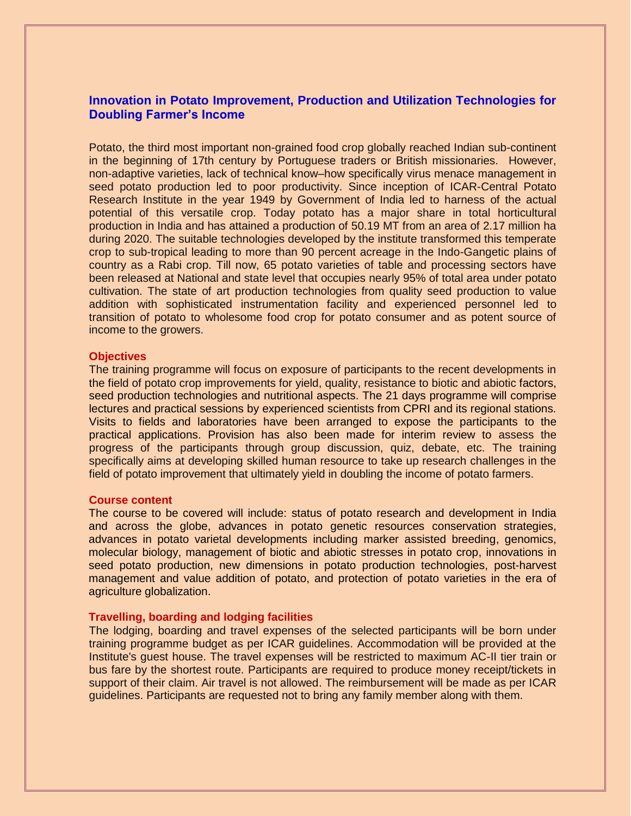## **Innovation in Potato Improvement, Production and Utilization Technologies for Doubling Farmer's Income**

Potato, the third most important non-grained food crop globally reached Indian sub-continent in the beginning of 17th century by Portuguese traders or British missionaries. However, non-adaptive varieties, lack of technical know–how specifically virus menace management in seed potato production led to poor productivity. Since inception of ICAR-Central Potato Research Institute in the year 1949 by Government of India led to harness of the actual potential of this versatile crop. Today potato has a major share in total horticultural production in India and has attained a production of 50.19 MT from an area of 2.17 million ha during 2020. The suitable technologies developed by the institute transformed this temperate crop to sub-tropical leading to more than 90 percent acreage in the Indo-Gangetic plains of country as a Rabi crop. Till now, 65 potato varieties of table and processing sectors have been released at National and state level that occupies nearly 95% of total area under potato cultivation. The state of art production technologies from quality seed production to value addition with sophisticated instrumentation facility and experienced personnel led to transition of potato to wholesome food crop for potato consumer and as potent source of income to the growers.

#### **Objectives**

The training programme will focus on exposure of participants to the recent developments in the field of potato crop improvements for yield, quality, resistance to biotic and abiotic factors, seed production technologies and nutritional aspects. The 21 days programme will comprise lectures and practical sessions by experienced scientists from CPRI and its regional stations. Visits to fields and laboratories have been arranged to expose the participants to the practical applications. Provision has also been made for interim review to assess the progress of the participants through group discussion, quiz, debate, etc. The training specifically aims at developing skilled human resource to take up research challenges in the field of potato improvement that ultimately yield in doubling the income of potato farmers.

#### **Course content**

The course to be covered will include: status of potato research and development in India and across the globe, advances in potato genetic resources conservation strategies, advances in potato varietal developments including marker assisted breeding, genomics, molecular biology, management of biotic and abiotic stresses in potato crop, innovations in seed potato production, new dimensions in potato production technologies, post-harvest management and value addition of potato, and protection of potato varieties in the era of agriculture globalization.

### **Travelling, boarding and lodging facilities**

The lodging, boarding and travel expenses of the selected participants will be born under training programme budget as per ICAR guidelines. Accommodation will be provided at the Institute's guest house. The travel expenses will be restricted to maximum AC-II tier train or bus fare by the shortest route. Participants are required to produce money receipt/tickets in support of their claim. Air travel is not allowed. The reimbursement will be made as per ICAR guidelines. Participants are requested not to bring any family member along with them.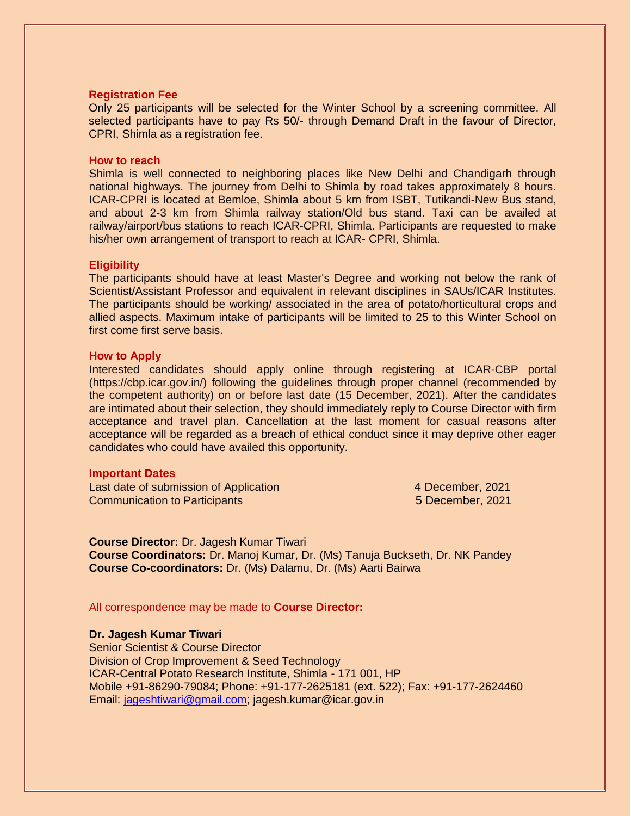#### **Registration Fee**

Only 25 participants will be selected for the Winter School by a screening committee. All selected participants have to pay Rs 50/- through Demand Draft in the favour of Director, CPRI, Shimla as a registration fee.

#### **How to reach**

Shimla is well connected to neighboring places like New Delhi and Chandigarh through national highways. The journey from Delhi to Shimla by road takes approximately 8 hours. ICAR-CPRI is located at Bemloe, Shimla about 5 km from ISBT, Tutikandi-New Bus stand, and about 2-3 km from Shimla railway station/Old bus stand. Taxi can be availed at railway/airport/bus stations to reach ICAR-CPRI, Shimla. Participants are requested to make his/her own arrangement of transport to reach at ICAR- CPRI, Shimla.

#### **Eligibility**

The participants should have at least Master's Degree and working not below the rank of Scientist/Assistant Professor and equivalent in relevant disciplines in SAUs/ICAR Institutes. The participants should be working/ associated in the area of potato/horticultural crops and allied aspects. Maximum intake of participants will be limited to 25 to this Winter School on first come first serve basis.

#### **How to Apply**

Interested candidates should apply online through registering at ICAR-CBP portal (https://cbp.icar.gov.in/) following the guidelines through proper channel (recommended by the competent authority) on or before last date (15 December, 2021). After the candidates are intimated about their selection, they should immediately reply to Course Director with firm acceptance and travel plan. Cancellation at the last moment for casual reasons after acceptance will be regarded as a breach of ethical conduct since it may deprive other eager candidates who could have availed this opportunity.

#### **Important Dates**

Last date of submission of Application 4 December, 2021 **Communication to Participants** 6 December, 2021

**Course Director:** Dr. Jagesh Kumar Tiwari **Course Coordinators:** Dr. Manoj Kumar, Dr. (Ms) Tanuja Buckseth, Dr. NK Pandey **Course Co-coordinators:** Dr. (Ms) Dalamu, Dr. (Ms) Aarti Bairwa

All correspondence may be made to **Course Director:**

**Dr. Jagesh Kumar Tiwari**  Senior Scientist & Course Director Division of Crop Improvement & Seed Technology ICAR-Central Potato Research Institute, Shimla - 171 001, HP Mobile +91-86290-79084; Phone: +91-177-2625181 (ext. 522); Fax: +91-177-2624460 Email: [jageshtiwari@gmail.com;](mailto:jageshtiwari@gmail.com) jagesh.kumar@icar.gov.in